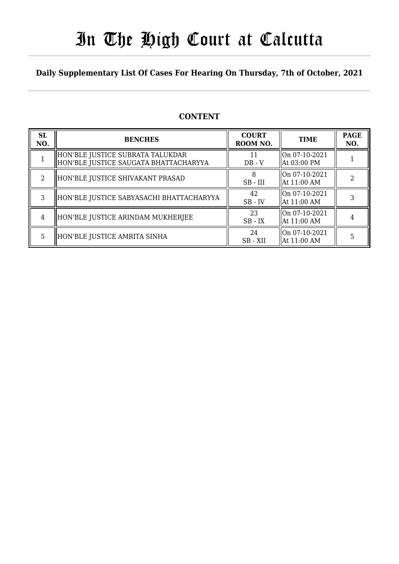# In The High Court at Calcutta

### **Daily Supplementary List Of Cases For Hearing On Thursday, 7th of October, 2021**

### **CONTENT**

| <b>SL</b><br>NO.            | <b>BENCHES</b>                                                            | <b>COURT</b><br>ROOM NO. | <b>TIME</b>                    | <b>PAGE</b><br>NO. |
|-----------------------------|---------------------------------------------------------------------------|--------------------------|--------------------------------|--------------------|
|                             | HON'BLE JUSTICE SUBRATA TALUKDAR<br>HON'BLE JUSTICE SAUGATA BHATTACHARYYA | 11<br>$DB - V$           | On 07-10-2021<br>  At 03:00 PM |                    |
| $\mathcal{D}_{\mathcal{L}}$ | HON'BLE JUSTICE SHIVAKANT PRASAD                                          | $SB$ - $III$             | On 07-10-2021<br>  At 11:00 AM |                    |
| 3                           | HON'BLE JUSTICE SABYASACHI BHATTACHARYYA                                  | 42<br>$SB$ - $IV$        | On 07-10-2021<br>  At 11:00 AM |                    |
| 4                           | HON'BLE JUSTICE ARINDAM MUKHERJEE                                         | 23<br>$SB$ - $IX$        | On 07-10-2021<br>  At 11:00 AM |                    |
| 5.                          | HON'BLE JUSTICE AMRITA SINHA                                              | 24<br>SB - XII           | On 07-10-2021<br>  At 11:00 AM |                    |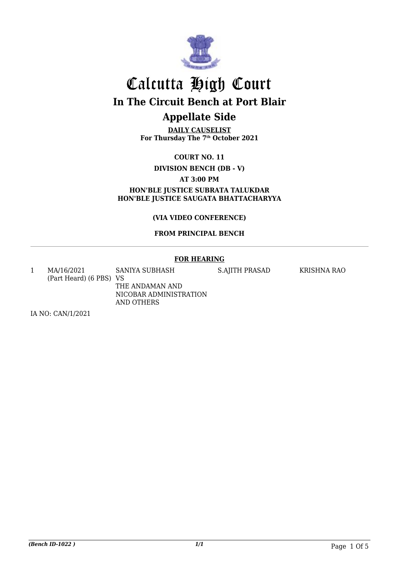

**DAILY CAUSELIST For Thursday The 7th October 2021**

**COURT NO. 11**

**DIVISION BENCH (DB - V)**

**AT 3:00 PM**

**HON'BLE JUSTICE SUBRATA TALUKDAR HON'BLE JUSTICE SAUGATA BHATTACHARYYA**

**(VIA VIDEO CONFERENCE)**

#### **FROM PRINCIPAL BENCH**

#### **FOR HEARING**

1 MA/16/2021 (Part Heard) (6 PBS) VS SANIYA SUBHASH THE ANDAMAN AND NICOBAR ADMINISTRATION AND OTHERS

S.AJITH PRASAD KRISHNA RAO

IA NO: CAN/1/2021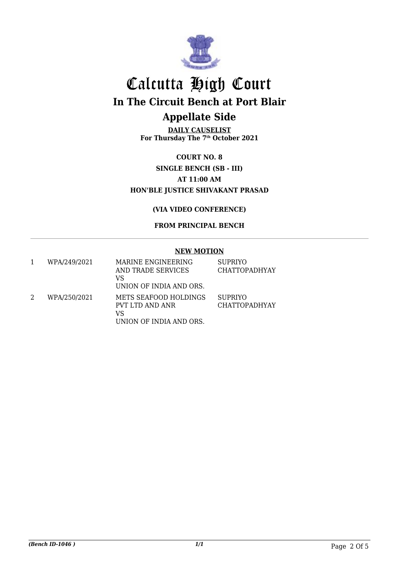

**DAILY CAUSELIST For Thursday The 7th October 2021**

**COURT NO. 8 SINGLE BENCH (SB - III) AT 11:00 AM HON'BLE JUSTICE SHIVAKANT PRASAD**

**(VIA VIDEO CONFERENCE)**

**FROM PRINCIPAL BENCH**

#### **NEW MOTION**

| WPA/249/2021 | MARINE ENGINEERING<br>AND TRADE SERVICES<br>VS<br>UNION OF INDIA AND ORS. | <b>SUPRIYO</b><br><b>CHATTOPADHYAY</b> |
|--------------|---------------------------------------------------------------------------|----------------------------------------|
| WPA/250/2021 | METS SEAFOOD HOLDINGS<br>PVT LTD AND ANR<br>VS<br>UNION OF INDIA AND ORS. | <b>SUPRIYO</b><br><b>CHATTOPADHYAY</b> |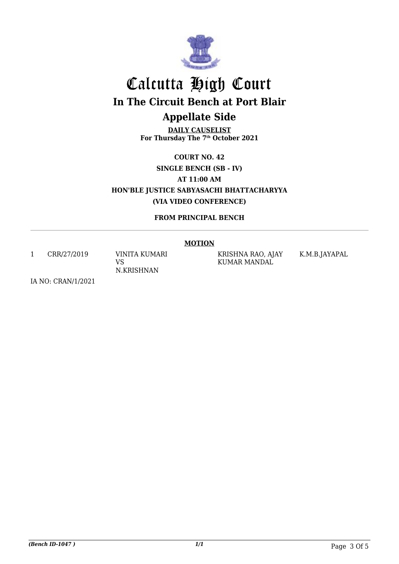

**DAILY CAUSELIST For Thursday The 7th October 2021**

**COURT NO. 42 SINGLE BENCH (SB - IV) AT 11:00 AM HON'BLE JUSTICE SABYASACHI BHATTACHARYYA (VIA VIDEO CONFERENCE)**

**FROM PRINCIPAL BENCH**

#### **MOTION**

1 CRR/27/2019 VINITA KUMARI

VS N.KRISHNAN KRISHNA RAO, AJAY KUMAR MANDAL

K.M.B.JAYAPAL

IA NO: CRAN/1/2021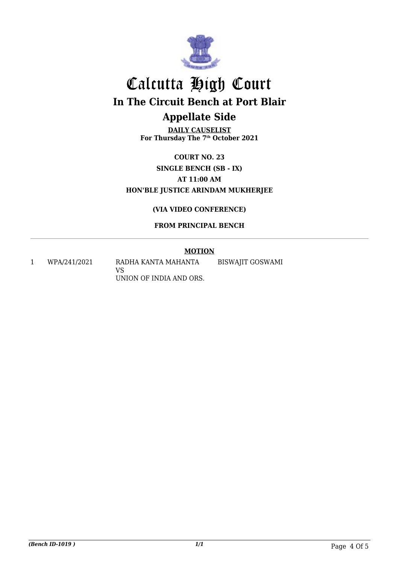

**DAILY CAUSELIST For Thursday The 7th October 2021**

**COURT NO. 23 SINGLE BENCH (SB - IX) AT 11:00 AM HON'BLE JUSTICE ARINDAM MUKHERJEE**

#### **(VIA VIDEO CONFERENCE)**

#### **FROM PRINCIPAL BENCH**

#### **MOTION**

1 WPA/241/2021 RADHA KANTA MAHANTA VS UNION OF INDIA AND ORS. BISWAJIT GOSWAMI